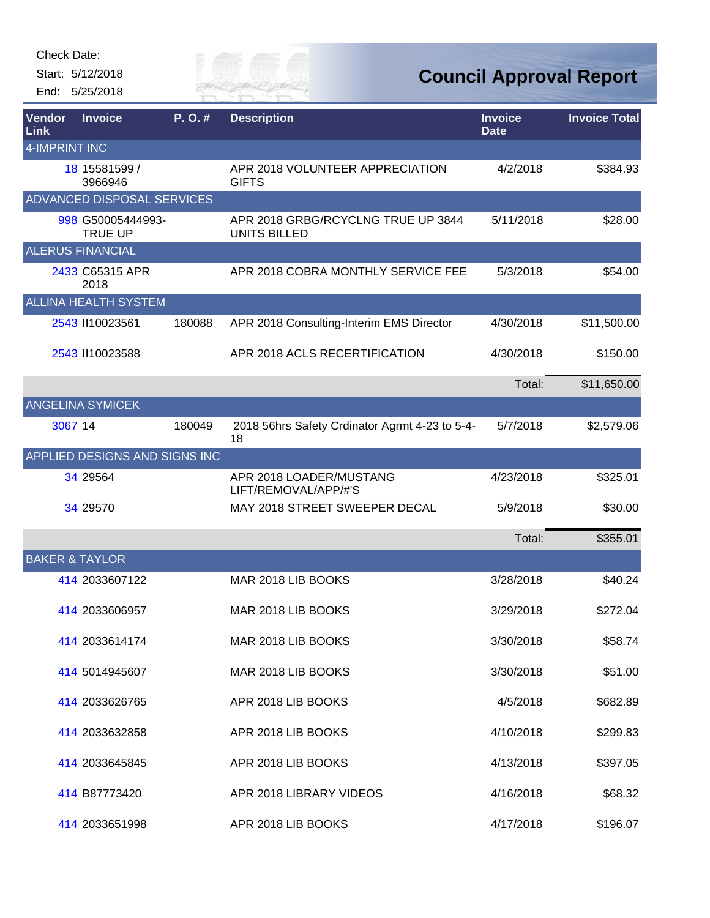Start: 5/12/2018 End: 5/25/2018



**Council Approval Report**

| Vendor<br><b>Link</b>     | <b>Invoice</b>                      | P.O.#  | <b>Description</b>                                        | <b>Invoice</b><br><b>Date</b> | <b>Invoice Total</b> |
|---------------------------|-------------------------------------|--------|-----------------------------------------------------------|-------------------------------|----------------------|
| 4-IMPRINT INC             |                                     |        |                                                           |                               |                      |
|                           | 18 15581599 /<br>3966946            |        | APR 2018 VOLUNTEER APPRECIATION<br><b>GIFTS</b>           | 4/2/2018                      | \$384.93             |
|                           | <b>ADVANCED DISPOSAL SERVICES</b>   |        |                                                           |                               |                      |
|                           | 998 G50005444993-<br><b>TRUE UP</b> |        | APR 2018 GRBG/RCYCLNG TRUE UP 3844<br><b>UNITS BILLED</b> | 5/11/2018                     | \$28.00              |
|                           | <b>ALERUS FINANCIAL</b>             |        |                                                           |                               |                      |
|                           | 2433 C65315 APR<br>2018             |        | APR 2018 COBRA MONTHLY SERVICE FEE                        | 5/3/2018                      | \$54.00              |
|                           | <b>ALLINA HEALTH SYSTEM</b>         |        |                                                           |                               |                      |
|                           | 2543 II10023561                     | 180088 | APR 2018 Consulting-Interim EMS Director                  | 4/30/2018                     | \$11,500.00          |
|                           | 2543 II10023588                     |        | APR 2018 ACLS RECERTIFICATION                             | 4/30/2018                     | \$150.00             |
|                           |                                     |        |                                                           | Total:                        | \$11,650.00          |
|                           | <b>ANGELINA SYMICEK</b>             |        |                                                           |                               |                      |
| 3067 14                   |                                     | 180049 | 2018 56hrs Safety Crdinator Agrmt 4-23 to 5-4-<br>18      | 5/7/2018                      | \$2,579.06           |
|                           | APPLIED DESIGNS AND SIGNS INC       |        |                                                           |                               |                      |
|                           | 34 29564                            |        | APR 2018 LOADER/MUSTANG<br>LIFT/REMOVAL/APP/#'S           | 4/23/2018                     | \$325.01             |
|                           | 34 29570                            |        | MAY 2018 STREET SWEEPER DECAL                             | 5/9/2018                      | \$30.00              |
|                           |                                     |        |                                                           | Total:                        | \$355.01             |
| <b>BAKER &amp; TAYLOR</b> |                                     |        |                                                           |                               |                      |
|                           | 414 2033607122                      |        | MAR 2018 LIB BOOKS                                        | 3/28/2018                     | \$40.24              |
|                           | 414 2033606957                      |        | MAR 2018 LIB BOOKS                                        | 3/29/2018                     | \$272.04             |
|                           | 414 2033614174                      |        | MAR 2018 LIB BOOKS                                        | 3/30/2018                     | \$58.74              |
|                           | 414 5014945607                      |        | MAR 2018 LIB BOOKS                                        | 3/30/2018                     | \$51.00              |
|                           | 414 2033626765                      |        | APR 2018 LIB BOOKS                                        | 4/5/2018                      | \$682.89             |
|                           | 414 2033632858                      |        | APR 2018 LIB BOOKS                                        | 4/10/2018                     | \$299.83             |
|                           | 414 2033645845                      |        | APR 2018 LIB BOOKS                                        | 4/13/2018                     | \$397.05             |
|                           | 414 B87773420                       |        | APR 2018 LIBRARY VIDEOS                                   | 4/16/2018                     | \$68.32              |
|                           | 414 2033651998                      |        | APR 2018 LIB BOOKS                                        | 4/17/2018                     | \$196.07             |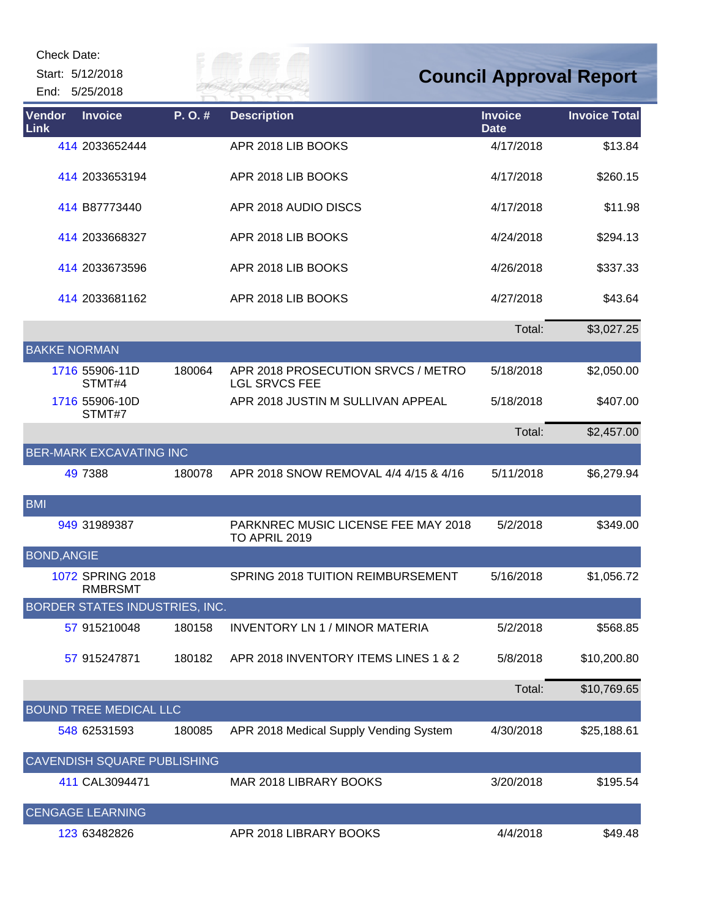| Check Date:<br>Start: 5/12/2018<br>End: 5/25/2018 |        |                                                            |                               | <b>Council Approval Report</b> |
|---------------------------------------------------|--------|------------------------------------------------------------|-------------------------------|--------------------------------|
| Vendor<br><b>Invoice</b><br>Link                  | P.O.#  | <b>Description</b>                                         | <b>Invoice</b><br><b>Date</b> | <b>Invoice Total</b>           |
| 414 2033652444                                    |        | APR 2018 LIB BOOKS                                         | 4/17/2018                     | \$13.84                        |
| 414 2033653194                                    |        | APR 2018 LIB BOOKS                                         | 4/17/2018                     | \$260.15                       |
| 414 B87773440                                     |        | APR 2018 AUDIO DISCS                                       | 4/17/2018                     | \$11.98                        |
| 414 2033668327                                    |        | APR 2018 LIB BOOKS                                         | 4/24/2018                     | \$294.13                       |
| 414 2033673596                                    |        | APR 2018 LIB BOOKS                                         | 4/26/2018                     | \$337.33                       |
| 414 2033681162                                    |        | APR 2018 LIB BOOKS                                         | 4/27/2018                     | \$43.64                        |
|                                                   |        |                                                            | Total:                        | \$3,027.25                     |
| <b>BAKKE NORMAN</b>                               |        |                                                            |                               |                                |
| 1716 55906-11D<br>STMT#4                          | 180064 | APR 2018 PROSECUTION SRVCS / METRO<br><b>LGL SRVCS FEE</b> | 5/18/2018                     | \$2,050.00                     |
| 1716 55906-10D<br>STMT#7                          |        | APR 2018 JUSTIN M SULLIVAN APPEAL                          | 5/18/2018                     | \$407.00                       |
|                                                   |        |                                                            | Total:                        | \$2,457.00                     |
| <b>BER-MARK EXCAVATING INC</b>                    |        |                                                            |                               |                                |
| 49 7388                                           | 180078 | APR 2018 SNOW REMOVAL 4/4 4/15 & 4/16                      | 5/11/2018                     | \$6,279.94                     |
| <b>BMI</b>                                        |        |                                                            |                               |                                |
| 949 31989387                                      |        | PARKNREC MUSIC LICENSE FEE MAY 2018<br>TO APRIL 2019       | 5/2/2018                      | \$349.00                       |
| <b>BOND, ANGIE</b>                                |        |                                                            |                               |                                |
| 1072 SPRING 2018<br><b>RMBRSMT</b>                |        | SPRING 2018 TUITION REIMBURSEMENT                          | 5/16/2018                     | \$1,056.72                     |
| BORDER STATES INDUSTRIES, INC.                    |        |                                                            |                               |                                |
| 57 915210048                                      | 180158 | <b>INVENTORY LN 1 / MINOR MATERIA</b>                      | 5/2/2018                      | \$568.85                       |
| 57 915247871                                      | 180182 | APR 2018 INVENTORY ITEMS LINES 1 & 2                       | 5/8/2018                      | \$10,200.80                    |
|                                                   |        |                                                            | Total:                        | \$10,769.65                    |
| <b>BOUND TREE MEDICAL LLC</b>                     |        |                                                            |                               |                                |
| 548 62531593                                      | 180085 | APR 2018 Medical Supply Vending System                     | 4/30/2018                     | \$25,188.61                    |
| CAVENDISH SQUARE PUBLISHING                       |        |                                                            |                               |                                |
| 411 CAL3094471                                    |        | MAR 2018 LIBRARY BOOKS                                     | 3/20/2018                     | \$195.54                       |
| <b>CENGAGE LEARNING</b>                           |        |                                                            |                               |                                |
| 123 63482826                                      |        | APR 2018 LIBRARY BOOKS                                     | 4/4/2018                      | \$49.48                        |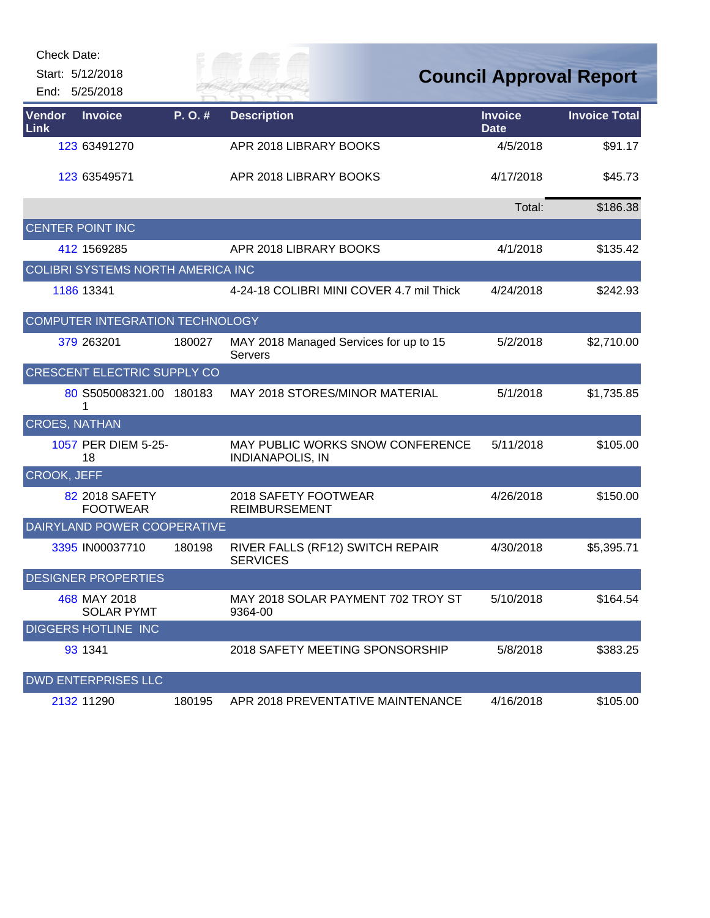|                | Check Date:                        |        |                                                             |                                |                      |
|----------------|------------------------------------|--------|-------------------------------------------------------------|--------------------------------|----------------------|
|                | Start: 5/12/2018                   |        |                                                             | <b>Council Approval Report</b> |                      |
|                | End: 5/25/2018                     |        |                                                             |                                |                      |
| Vendor<br>Link | <b>Invoice</b>                     | P.O.#  | <b>Description</b>                                          | <b>Invoice</b><br><b>Date</b>  | <b>Invoice Total</b> |
|                | 123 63491270                       |        | APR 2018 LIBRARY BOOKS                                      | 4/5/2018                       | \$91.17              |
|                | 123 63549571                       |        | APR 2018 LIBRARY BOOKS                                      | 4/17/2018                      | \$45.73              |
|                |                                    |        |                                                             | Total:                         | \$186.38             |
|                | <b>CENTER POINT INC</b>            |        |                                                             |                                |                      |
|                | 412 1569285                        |        | APR 2018 LIBRARY BOOKS                                      | 4/1/2018                       | \$135.42             |
|                | COLIBRI SYSTEMS NORTH AMERICA INC  |        |                                                             |                                |                      |
|                | 1186 13341                         |        | 4-24-18 COLIBRI MINI COVER 4.7 mil Thick                    | 4/24/2018                      | \$242.93             |
|                | COMPUTER INTEGRATION TECHNOLOGY    |        |                                                             |                                |                      |
|                | 379 263201                         | 180027 | MAY 2018 Managed Services for up to 15<br>Servers           | 5/2/2018                       | \$2,710.00           |
|                | <b>CRESCENT ELECTRIC SUPPLY CO</b> |        |                                                             |                                |                      |
|                | 80 S505008321.00 180183            |        | MAY 2018 STORES/MINOR MATERIAL                              | 5/1/2018                       | \$1,735.85           |
|                | <b>CROES, NATHAN</b>               |        |                                                             |                                |                      |
|                | 1057 PER DIEM 5-25-<br>18          |        | MAY PUBLIC WORKS SNOW CONFERENCE<br><b>INDIANAPOLIS, IN</b> | 5/11/2018                      | \$105.00             |
| CROOK, JEFF    |                                    |        |                                                             |                                |                      |
|                | 82 2018 SAFETY<br><b>FOOTWEAR</b>  |        | 2018 SAFETY FOOTWEAR<br><b>REIMBURSEMENT</b>                | 4/26/2018                      | \$150.00             |
|                | DAIRYLAND POWER COOPERATIVE        |        |                                                             |                                |                      |
|                | 3395 IN00037710                    | 180198 | RIVER FALLS (RF12) SWITCH REPAIR<br><b>SERVICES</b>         | 4/30/2018                      | \$5,395.71           |
|                | <b>DESIGNER PROPERTIES</b>         |        |                                                             |                                |                      |
|                | 468 MAY 2018<br><b>SOLAR PYMT</b>  |        | MAY 2018 SOLAR PAYMENT 702 TROY ST<br>9364-00               | 5/10/2018                      | \$164.54             |
|                | <b>DIGGERS HOTLINE INC</b>         |        |                                                             |                                |                      |
|                | 93 1341                            |        | 2018 SAFETY MEETING SPONSORSHIP                             | 5/8/2018                       | \$383.25             |
|                | <b>DWD ENTERPRISES LLC</b>         |        |                                                             |                                |                      |
|                | 2132 11290                         | 180195 | APR 2018 PREVENTATIVE MAINTENANCE                           | 4/16/2018                      | \$105.00             |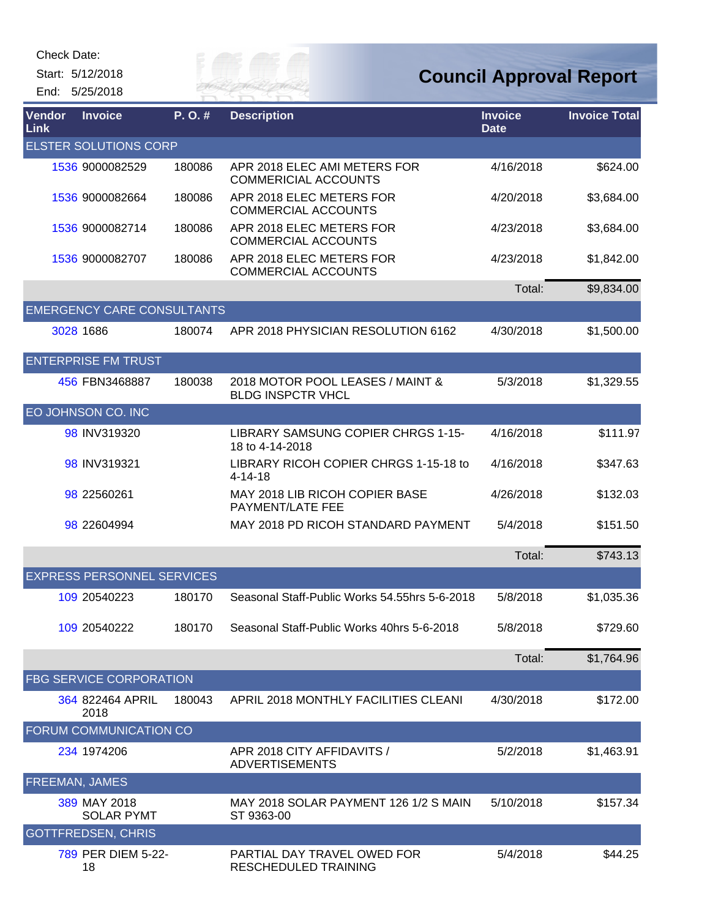Start: 5/12/2018

*City of* 

## **Council Approval Report**

|                | End: 5/25/2018                    |        | VER FAI                                                      |                               |                      |
|----------------|-----------------------------------|--------|--------------------------------------------------------------|-------------------------------|----------------------|
| Vendor<br>Link | <b>Invoice</b>                    | P.O.#  | <b>Description</b>                                           | <b>Invoice</b><br><b>Date</b> | <b>Invoice Total</b> |
|                | <b>ELSTER SOLUTIONS CORP</b>      |        |                                                              |                               |                      |
|                | 1536 9000082529                   | 180086 | APR 2018 ELEC AMI METERS FOR<br><b>COMMERICIAL ACCOUNTS</b>  | 4/16/2018                     | \$624.00             |
|                | 1536 9000082664                   | 180086 | APR 2018 ELEC METERS FOR<br><b>COMMERCIAL ACCOUNTS</b>       | 4/20/2018                     | \$3,684.00           |
|                | 1536 9000082714                   | 180086 | APR 2018 ELEC METERS FOR<br><b>COMMERCIAL ACCOUNTS</b>       | 4/23/2018                     | \$3,684.00           |
|                | 1536 9000082707                   | 180086 | APR 2018 ELEC METERS FOR<br><b>COMMERCIAL ACCOUNTS</b>       | 4/23/2018                     | \$1,842.00           |
|                |                                   |        |                                                              | Total:                        | \$9,834.00           |
|                | <b>EMERGENCY CARE CONSULTANTS</b> |        |                                                              |                               |                      |
|                | 3028 1686                         | 180074 | APR 2018 PHYSICIAN RESOLUTION 6162                           | 4/30/2018                     | \$1,500.00           |
|                | <b>ENTERPRISE FM TRUST</b>        |        |                                                              |                               |                      |
|                | 456 FBN3468887                    | 180038 | 2018 MOTOR POOL LEASES / MAINT &<br><b>BLDG INSPCTR VHCL</b> | 5/3/2018                      | \$1,329.55           |
|                | EO JOHNSON CO. INC                |        |                                                              |                               |                      |
|                | 98 INV319320                      |        | LIBRARY SAMSUNG COPIER CHRGS 1-15-<br>18 to 4-14-2018        | 4/16/2018                     | \$111.97             |
|                | 98 INV319321                      |        | LIBRARY RICOH COPIER CHRGS 1-15-18 to<br>$4 - 14 - 18$       | 4/16/2018                     | \$347.63             |
|                | 98 22560261                       |        | MAY 2018 LIB RICOH COPIER BASE<br>PAYMENT/LATE FEE           | 4/26/2018                     | \$132.03             |
|                | 98 22604994                       |        | MAY 2018 PD RICOH STANDARD PAYMENT                           | 5/4/2018                      | \$151.50             |
|                |                                   |        |                                                              | Total:                        | \$743.13             |
|                | <b>EXPRESS PERSONNEL SERVICES</b> |        |                                                              |                               |                      |
|                | 109 20540223                      | 180170 | Seasonal Staff-Public Works 54,55hrs 5-6-2018                | 5/8/2018                      | \$1,035.36           |
|                | 109 20540222                      | 180170 | Seasonal Staff-Public Works 40hrs 5-6-2018                   | 5/8/2018                      | \$729.60             |
|                |                                   |        |                                                              | Total:                        | \$1,764.96           |
|                | <b>FBG SERVICE CORPORATION</b>    |        |                                                              |                               |                      |
|                | 364 822464 APRIL<br>2018          | 180043 | APRIL 2018 MONTHLY FACILITIES CLEANI                         | 4/30/2018                     | \$172.00             |
|                | FORUM COMMUNICATION CO            |        |                                                              |                               |                      |
|                | 234 1974 206                      |        | APR 2018 CITY AFFIDAVITS /<br><b>ADVERTISEMENTS</b>          | 5/2/2018                      | \$1,463.91           |
|                | <b>FREEMAN, JAMES</b>             |        |                                                              |                               |                      |
|                | 389 MAY 2018<br><b>SOLAR PYMT</b> |        | MAY 2018 SOLAR PAYMENT 126 1/2 S MAIN<br>ST 9363-00          | 5/10/2018                     | \$157.34             |
|                | <b>GOTTFREDSEN, CHRIS</b>         |        |                                                              |                               |                      |
|                | 789 PER DIEM 5-22-<br>18          |        | PARTIAL DAY TRAVEL OWED FOR<br>RESCHEDULED TRAINING          | 5/4/2018                      | \$44.25              |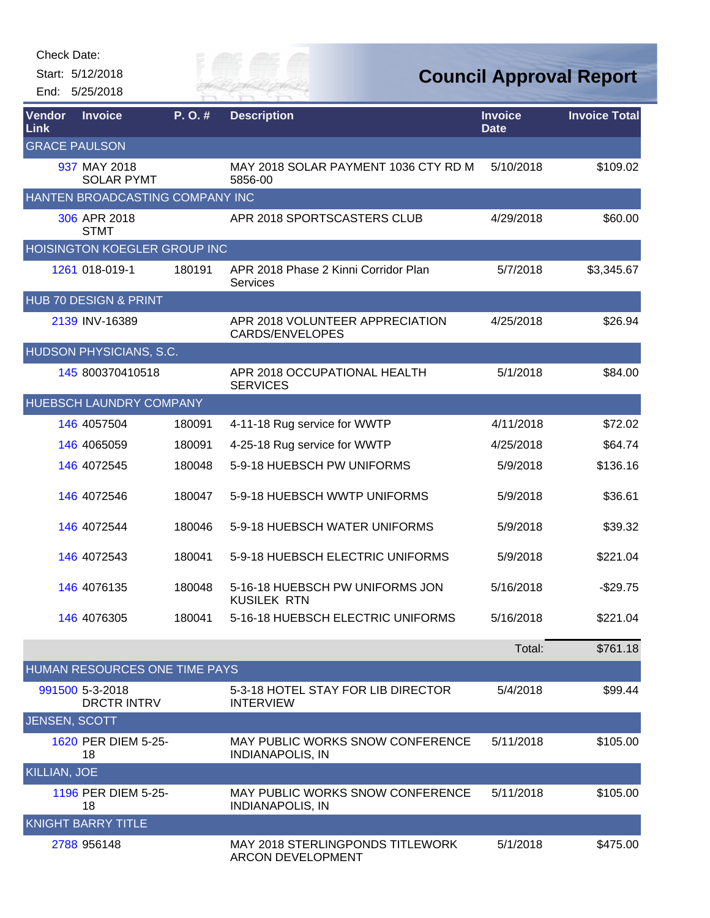| Check Date: |  |
|-------------|--|
|-------------|--|

Start: 5/12/2018 End: 5/25/2018 City of

## **Council Approval Report**

| Vendor<br>Link       | <b>Invoice</b>                        | P.O.#  | <b>Description</b>                                                  | <b>Invoice</b><br><b>Date</b> | <b>Invoice Total</b> |
|----------------------|---------------------------------------|--------|---------------------------------------------------------------------|-------------------------------|----------------------|
| <b>GRACE PAULSON</b> |                                       |        |                                                                     |                               |                      |
|                      | 937 MAY 2018<br><b>SOLAR PYMT</b>     |        | MAY 2018 SOLAR PAYMENT 1036 CTY RD M<br>5856-00                     | 5/10/2018                     | \$109.02             |
|                      | HANTEN BROADCASTING COMPANY INC       |        |                                                                     |                               |                      |
|                      | 306 APR 2018<br><b>STMT</b>           |        | APR 2018 SPORTSCASTERS CLUB                                         | 4/29/2018                     | \$60.00              |
|                      | HOISINGTON KOEGLER GROUP INC          |        |                                                                     |                               |                      |
|                      | 1261 018-019-1                        | 180191 | APR 2018 Phase 2 Kinni Corridor Plan<br><b>Services</b>             | 5/7/2018                      | \$3,345.67           |
|                      | <b>HUB 70 DESIGN &amp; PRINT</b>      |        |                                                                     |                               |                      |
|                      | 2139 INV-16389                        |        | APR 2018 VOLUNTEER APPRECIATION<br>CARDS/ENVELOPES                  | 4/25/2018                     | \$26.94              |
|                      | HUDSON PHYSICIANS, S.C.               |        |                                                                     |                               |                      |
|                      | 145 800370410518                      |        | APR 2018 OCCUPATIONAL HEALTH<br><b>SERVICES</b>                     | 5/1/2018                      | \$84.00              |
|                      | <b>HUEBSCH LAUNDRY COMPANY</b>        |        |                                                                     |                               |                      |
|                      | 146 4057504                           | 180091 | 4-11-18 Rug service for WWTP                                        | 4/11/2018                     | \$72.02              |
|                      | 146 4065059                           | 180091 | 4-25-18 Rug service for WWTP                                        | 4/25/2018                     | \$64.74              |
|                      | 146 4072545                           | 180048 | 5-9-18 HUEBSCH PW UNIFORMS                                          | 5/9/2018                      | \$136.16             |
|                      | 146 4072546                           | 180047 | 5-9-18 HUEBSCH WWTP UNIFORMS                                        | 5/9/2018                      | \$36.61              |
|                      | 146 4072544                           | 180046 | 5-9-18 HUEBSCH WATER UNIFORMS                                       | 5/9/2018                      | \$39.32              |
|                      | 146 4072543                           | 180041 | 5-9-18 HUEBSCH ELECTRIC UNIFORMS                                    | 5/9/2018                      | \$221.04             |
|                      | 146 4076135                           | 180048 | 5-16-18 HUEBSCH PW UNIFORMS JON<br><b>KUSILEK RTN</b>               | 5/16/2018                     | $-$29.75$            |
|                      | 146 4076305                           | 180041 | 5-16-18 HUEBSCH ELECTRIC UNIFORMS                                   | 5/16/2018                     | \$221.04             |
|                      |                                       |        |                                                                     | Total:                        | \$761.18             |
|                      | HUMAN RESOURCES ONE TIME PAYS         |        |                                                                     |                               |                      |
|                      | 991500 5-3-2018<br><b>DRCTR INTRV</b> |        | 5-3-18 HOTEL STAY FOR LIB DIRECTOR<br><b>INTERVIEW</b>              | 5/4/2018                      | \$99.44              |
| <b>JENSEN, SCOTT</b> |                                       |        |                                                                     |                               |                      |
|                      | 1620 PER DIEM 5-25-<br>18             |        | <b>MAY PUBLIC WORKS SNOW CONFERENCE</b><br><b>INDIANAPOLIS, IN</b>  | 5/11/2018                     | \$105.00             |
| <b>KILLIAN, JOE</b>  |                                       |        |                                                                     |                               |                      |
|                      | 1196 PER DIEM 5-25-<br>18             |        | <b>MAY PUBLIC WORKS SNOW CONFERENCE</b><br><b>INDIANAPOLIS, IN</b>  | 5/11/2018                     | \$105.00             |
|                      | <b>KNIGHT BARRY TITLE</b>             |        |                                                                     |                               |                      |
|                      | 2788 956148                           |        | <b>MAY 2018 STERLINGPONDS TITLEWORK</b><br><b>ARCON DEVELOPMENT</b> | 5/1/2018                      | \$475.00             |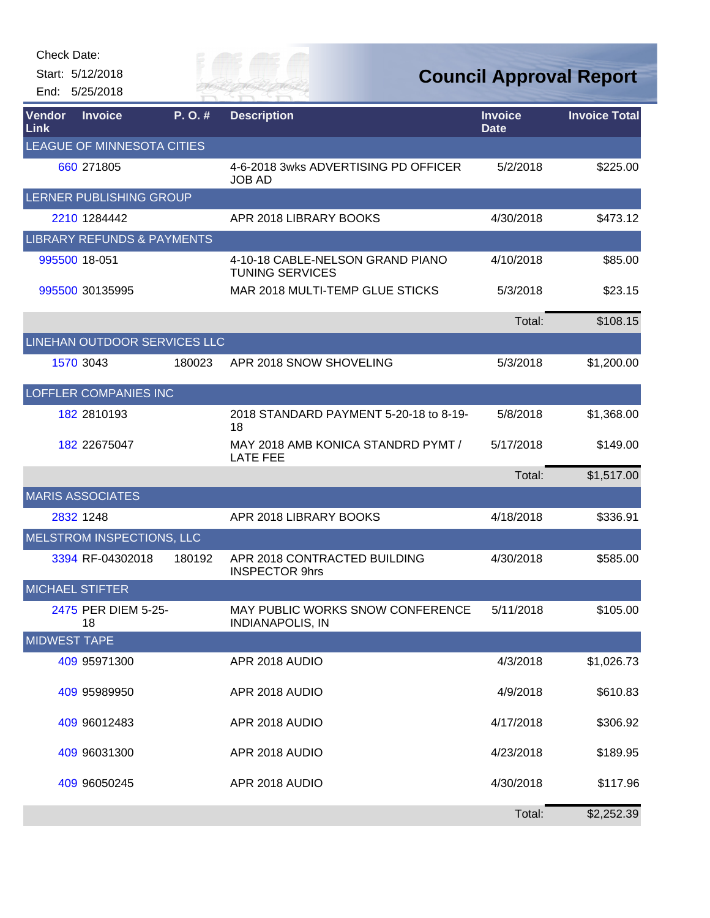Start: 5/12/2018 End: 5/25/2018 Eily of

## **Council Approval Report**

| Vendor<br>Link         | <b>Invoice</b>                        | P.O.#  | <b>Description</b>                                          | <b>Invoice</b><br><b>Date</b> | <b>Invoice Total</b> |
|------------------------|---------------------------------------|--------|-------------------------------------------------------------|-------------------------------|----------------------|
|                        | LEAGUE OF MINNESOTA CITIES            |        |                                                             |                               |                      |
|                        | 660 271805                            |        | 4-6-2018 3wks ADVERTISING PD OFFICER<br><b>JOB AD</b>       | 5/2/2018                      | \$225.00             |
|                        | LERNER PUBLISHING GROUP               |        |                                                             |                               |                      |
|                        | 2210 1284442                          |        | APR 2018 LIBRARY BOOKS                                      | 4/30/2018                     | \$473.12             |
|                        | <b>LIBRARY REFUNDS &amp; PAYMENTS</b> |        |                                                             |                               |                      |
|                        | 995500 18-051                         |        | 4-10-18 CABLE-NELSON GRAND PIANO<br><b>TUNING SERVICES</b>  | 4/10/2018                     | \$85.00              |
|                        | 995500 30135995                       |        | MAR 2018 MULTI-TEMP GLUE STICKS                             | 5/3/2018                      | \$23.15              |
|                        |                                       |        |                                                             | Total:                        | \$108.15             |
|                        | LINEHAN OUTDOOR SERVICES LLC          |        |                                                             |                               |                      |
|                        | 1570 3043                             | 180023 | APR 2018 SNOW SHOVELING                                     | 5/3/2018                      | \$1,200.00           |
|                        | <b>LOFFLER COMPANIES INC</b>          |        |                                                             |                               |                      |
|                        | 182 2810193                           |        | 2018 STANDARD PAYMENT 5-20-18 to 8-19-<br>18                | 5/8/2018                      | \$1,368.00           |
|                        | 182 22675047                          |        | MAY 2018 AMB KONICA STANDRD PYMT /<br><b>LATE FEE</b>       | 5/17/2018                     | \$149.00             |
|                        |                                       |        |                                                             | Total:                        | \$1,517.00           |
|                        | <b>MARIS ASSOCIATES</b>               |        |                                                             |                               |                      |
|                        | 2832 1248                             |        | APR 2018 LIBRARY BOOKS                                      | 4/18/2018                     | \$336.91             |
|                        | MELSTROM INSPECTIONS, LLC             |        |                                                             |                               |                      |
|                        | 3394 RF-04302018                      | 180192 | APR 2018 CONTRACTED BUILDING<br><b>INSPECTOR 9hrs</b>       | 4/30/2018                     | \$585.00             |
| <b>MICHAEL STIFTER</b> |                                       |        |                                                             |                               |                      |
|                        | 2475 PER DIEM 5-25-<br>18             |        | MAY PUBLIC WORKS SNOW CONFERENCE<br><b>INDIANAPOLIS, IN</b> | 5/11/2018                     | \$105.00             |
| <b>MIDWEST TAPE</b>    |                                       |        |                                                             |                               |                      |
|                        | 409 95971300                          |        | APR 2018 AUDIO                                              | 4/3/2018                      | \$1,026.73           |
|                        | 409 95989950                          |        | APR 2018 AUDIO                                              | 4/9/2018                      | \$610.83             |
|                        | 409 96012483                          |        | APR 2018 AUDIO                                              | 4/17/2018                     | \$306.92             |
|                        | 409 96031300                          |        | APR 2018 AUDIO                                              | 4/23/2018                     | \$189.95             |
|                        | 409 96050245                          |        | APR 2018 AUDIO                                              | 4/30/2018                     | \$117.96             |
|                        |                                       |        |                                                             | Total:                        | \$2,252.39           |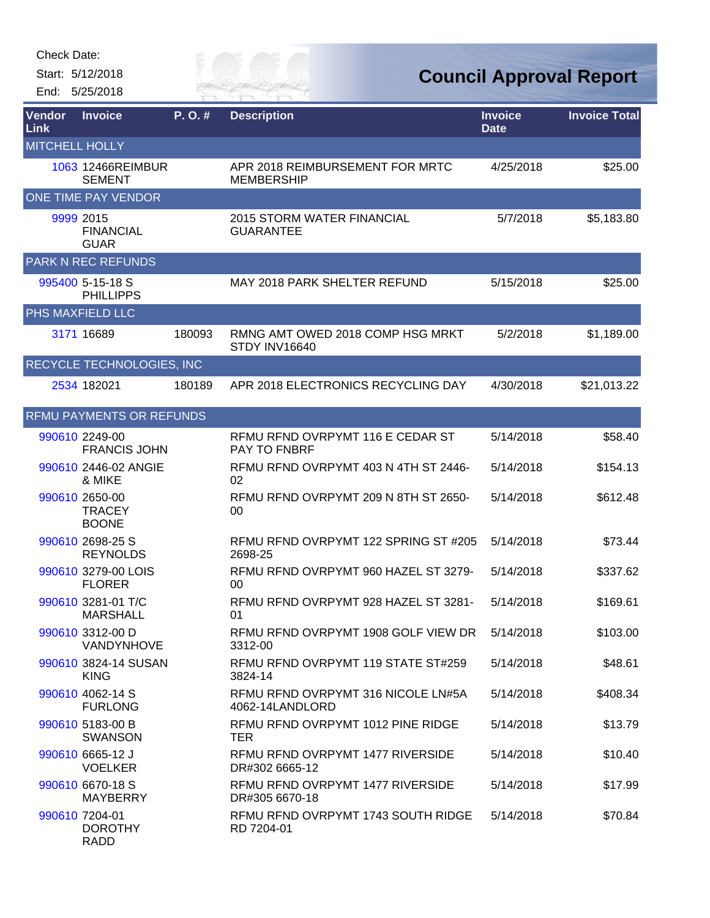Start: 5/12/2018 End: 5/25/2018 *Cuy of* 

| Vendor<br>Link        | <b>Invoice</b>                                  | P.O.#  | <b>Description</b>                                      | <b>Invoice</b><br><b>Date</b> | <b>Invoice Total</b> |
|-----------------------|-------------------------------------------------|--------|---------------------------------------------------------|-------------------------------|----------------------|
| <b>MITCHELL HOLLY</b> |                                                 |        |                                                         |                               |                      |
|                       | 1063 12466REIMBUR<br><b>SEMENT</b>              |        | APR 2018 REIMBURSEMENT FOR MRTC<br><b>MEMBERSHIP</b>    | 4/25/2018                     | \$25.00              |
|                       | ONE TIME PAY VENDOR                             |        |                                                         |                               |                      |
|                       | 9999 2015<br><b>FINANCIAL</b><br><b>GUAR</b>    |        | 2015 STORM WATER FINANCIAL<br><b>GUARANTEE</b>          | 5/7/2018                      | \$5,183.80           |
|                       | <b>PARK N REC REFUNDS</b>                       |        |                                                         |                               |                      |
|                       | 995400 5-15-18 S<br><b>PHILLIPPS</b>            |        | <b>MAY 2018 PARK SHELTER REFUND</b>                     | 5/15/2018                     | \$25.00              |
|                       | PHS MAXFIELD LLC                                |        |                                                         |                               |                      |
|                       | 3171 16689                                      | 180093 | RMNG AMT OWED 2018 COMP HSG MRKT<br>STDY INV16640       | 5/2/2018                      | \$1,189.00           |
|                       | <b>RECYCLE TECHNOLOGIES, INC</b>                |        |                                                         |                               |                      |
|                       | 2534 182021                                     | 180189 | APR 2018 ELECTRONICS RECYCLING DAY                      | 4/30/2018                     | \$21,013.22          |
|                       | RFMU PAYMENTS OR REFUNDS                        |        |                                                         |                               |                      |
|                       | 990610 2249-00<br><b>FRANCIS JOHN</b>           |        | RFMU RFND OVRPYMT 116 E CEDAR ST<br><b>PAY TO FNBRF</b> | 5/14/2018                     | \$58.40              |
|                       | 990610 2446-02 ANGIE<br>& MIKE                  |        | RFMU RFND OVRPYMT 403 N 4TH ST 2446-<br>02              | 5/14/2018                     | \$154.13             |
|                       | 990610 2650-00<br><b>TRACEY</b><br><b>BOONE</b> |        | RFMU RFND OVRPYMT 209 N 8TH ST 2650-<br>00              | 5/14/2018                     | \$612.48             |
|                       | 990610 2698-25 S<br><b>REYNOLDS</b>             |        | RFMU RFND OVRPYMT 122 SPRING ST #205<br>2698-25         | 5/14/2018                     | \$73.44              |
|                       | 990610 3279-00 LOIS<br><b>FLORER</b>            |        | RFMU RFND OVRPYMT 960 HAZEL ST 3279-<br>00              | 5/14/2018                     | \$337.62             |
|                       | 990610 3281-01 T/C<br><b>MARSHALL</b>           |        | RFMU RFND OVRPYMT 928 HAZEL ST 3281-<br>01              | 5/14/2018                     | \$169.61             |
|                       | 990610 3312-00 D<br>VANDYNHOVE                  |        | RFMU RFND OVRPYMT 1908 GOLF VIEW DR<br>3312-00          | 5/14/2018                     | \$103.00             |
|                       | 990610 3824-14 SUSAN<br><b>KING</b>             |        | RFMU RFND OVRPYMT 119 STATE ST#259<br>3824-14           | 5/14/2018                     | \$48.61              |
|                       | 990610 4062-14 S<br><b>FURLONG</b>              |        | RFMU RFND OVRPYMT 316 NICOLE LN#5A<br>4062-14LANDLORD   | 5/14/2018                     | \$408.34             |
|                       | 990610 5183-00 B<br><b>SWANSON</b>              |        | RFMU RFND OVRPYMT 1012 PINE RIDGE<br>TER                | 5/14/2018                     | \$13.79              |
|                       | 990610 6665-12 J<br><b>VOELKER</b>              |        | RFMU RFND OVRPYMT 1477 RIVERSIDE<br>DR#302 6665-12      | 5/14/2018                     | \$10.40              |
|                       | 990610 6670-18 S<br><b>MAYBERRY</b>             |        | RFMU RFND OVRPYMT 1477 RIVERSIDE<br>DR#305 6670-18      | 5/14/2018                     | \$17.99              |
|                       | 990610 7204-01<br><b>DOROTHY</b><br><b>RADD</b> |        | RFMU RFND OVRPYMT 1743 SOUTH RIDGE<br>RD 7204-01        | 5/14/2018                     | \$70.84              |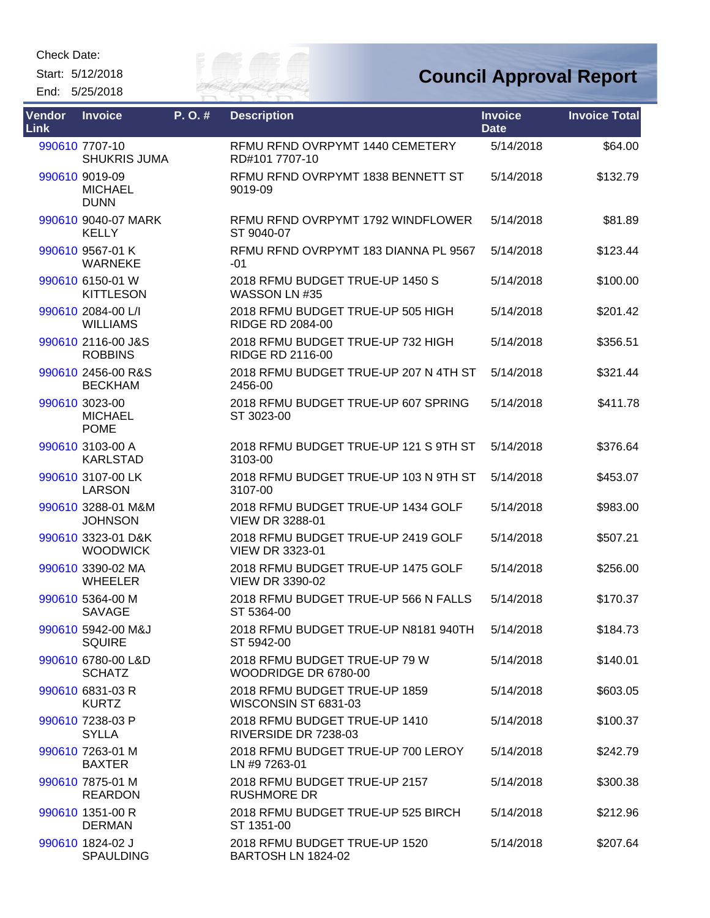Start: 5/12/2018 End: 5/25/2018



| <b>Vendor</b><br><b>Link</b> | <b>Invoice</b>                                  | P.O.# | <b>Description</b>                                           | <b>Invoice</b><br><b>Date</b> | <b>Invoice Total</b> |
|------------------------------|-------------------------------------------------|-------|--------------------------------------------------------------|-------------------------------|----------------------|
|                              | 990610 7707-10<br><b>SHUKRIS JUMA</b>           |       | RFMU RFND OVRPYMT 1440 CEMETERY<br>RD#101 7707-10            | 5/14/2018                     | \$64.00              |
|                              | 990610 9019-09<br><b>MICHAEL</b><br><b>DUNN</b> |       | RFMU RFND OVRPYMT 1838 BENNETT ST<br>9019-09                 | 5/14/2018                     | \$132.79             |
|                              | 990610 9040-07 MARK<br><b>KELLY</b>             |       | RFMU RFND OVRPYMT 1792 WINDFLOWER<br>ST 9040-07              | 5/14/2018                     | \$81.89              |
|                              | 990610 9567-01 K<br><b>WARNEKE</b>              |       | RFMU RFND OVRPYMT 183 DIANNA PL 9567<br>$-01$                | 5/14/2018                     | \$123.44             |
|                              | 990610 6150-01 W<br><b>KITTLESON</b>            |       | 2018 RFMU BUDGET TRUE-UP 1450 S<br>WASSON LN #35             | 5/14/2018                     | \$100.00             |
|                              | 990610 2084-00 L/I<br><b>WILLIAMS</b>           |       | 2018 RFMU BUDGET TRUE-UP 505 HIGH<br><b>RIDGE RD 2084-00</b> | 5/14/2018                     | \$201.42             |
|                              | 990610 2116-00 J&S<br><b>ROBBINS</b>            |       | 2018 RFMU BUDGET TRUE-UP 732 HIGH<br><b>RIDGE RD 2116-00</b> | 5/14/2018                     | \$356.51             |
|                              | 990610 2456-00 R&S<br><b>BECKHAM</b>            |       | 2018 RFMU BUDGET TRUE-UP 207 N 4TH ST<br>2456-00             | 5/14/2018                     | \$321.44             |
|                              | 990610 3023-00<br><b>MICHAEL</b><br><b>POME</b> |       | 2018 RFMU BUDGET TRUE-UP 607 SPRING<br>ST 3023-00            | 5/14/2018                     | \$411.78             |
|                              | 990610 3103-00 A<br><b>KARLSTAD</b>             |       | 2018 RFMU BUDGET TRUE-UP 121 S 9TH ST<br>3103-00             | 5/14/2018                     | \$376.64             |
|                              | 990610 3107-00 LK<br><b>LARSON</b>              |       | 2018 RFMU BUDGET TRUE-UP 103 N 9TH ST<br>3107-00             | 5/14/2018                     | \$453.07             |
|                              | 990610 3288-01 M&M<br><b>JOHNSON</b>            |       | 2018 RFMU BUDGET TRUE-UP 1434 GOLF<br><b>VIEW DR 3288-01</b> | 5/14/2018                     | \$983.00             |
|                              | 990610 3323-01 D&K<br><b>WOODWICK</b>           |       | 2018 RFMU BUDGET TRUE-UP 2419 GOLF<br><b>VIEW DR 3323-01</b> | 5/14/2018                     | \$507.21             |
|                              | 990610 3390-02 MA<br><b>WHEELER</b>             |       | 2018 RFMU BUDGET TRUE-UP 1475 GOLF<br><b>VIEW DR 3390-02</b> | 5/14/2018                     | \$256.00             |
|                              | 990610 5364-00 M<br><b>SAVAGE</b>               |       | 2018 RFMU BUDGET TRUE-UP 566 N FALLS<br>ST 5364-00           | 5/14/2018                     | \$170.37             |
|                              | 990610 5942-00 M&J<br><b>SQUIRE</b>             |       | 2018 RFMU BUDGET TRUE-UP N8181 940TH<br>ST 5942-00           | 5/14/2018                     | \$184.73             |
|                              | 990610 6780-00 L&D<br><b>SCHATZ</b>             |       | 2018 RFMU BUDGET TRUE-UP 79 W<br>WOODRIDGE DR 6780-00        | 5/14/2018                     | \$140.01             |
|                              | 990610 6831-03 R<br><b>KURTZ</b>                |       | 2018 RFMU BUDGET TRUE-UP 1859<br>WISCONSIN ST 6831-03        | 5/14/2018                     | \$603.05             |
|                              | 990610 7238-03 P<br><b>SYLLA</b>                |       | 2018 RFMU BUDGET TRUE-UP 1410<br>RIVERSIDE DR 7238-03        | 5/14/2018                     | \$100.37             |
|                              | 990610 7263-01 M<br><b>BAXTER</b>               |       | 2018 RFMU BUDGET TRUE-UP 700 LEROY<br>LN #9 7263-01          | 5/14/2018                     | \$242.79             |
|                              | 990610 7875-01 M<br><b>REARDON</b>              |       | 2018 RFMU BUDGET TRUE-UP 2157<br><b>RUSHMORE DR</b>          | 5/14/2018                     | \$300.38             |
|                              | 990610 1351-00 R<br><b>DERMAN</b>               |       | 2018 RFMU BUDGET TRUE-UP 525 BIRCH<br>ST 1351-00             | 5/14/2018                     | \$212.96             |
|                              | 990610 1824-02 J<br><b>SPAULDING</b>            |       | 2018 RFMU BUDGET TRUE-UP 1520<br>BARTOSH LN 1824-02          | 5/14/2018                     | \$207.64             |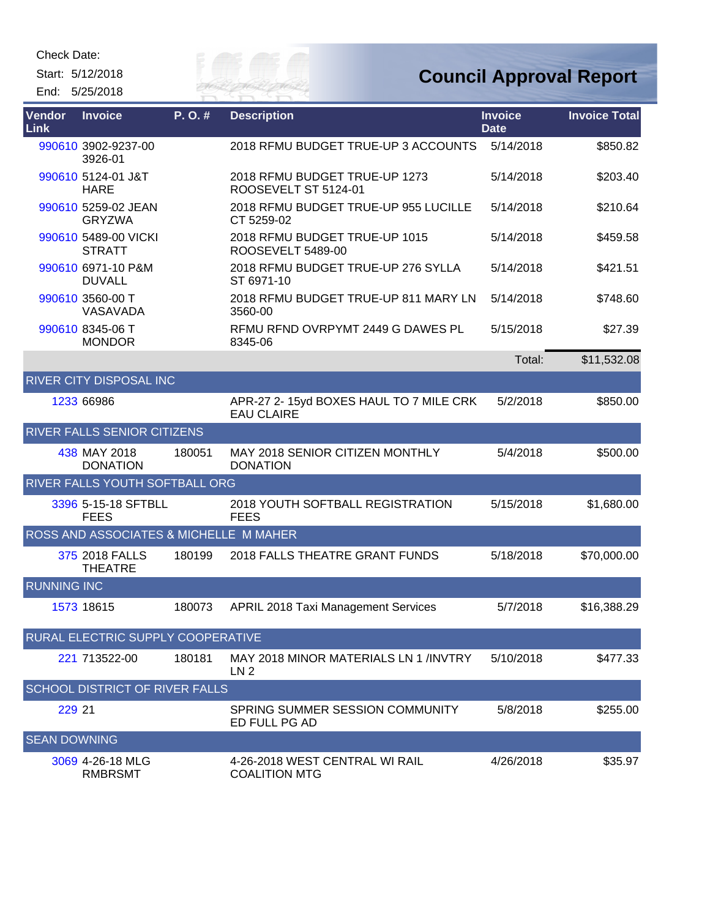Start: 5/12/2018 End: 5/25/2018



| <b>Vendor</b><br>Link | <b>Invoice</b>                         | P.O.#  | <b>Description</b>                                           | <b>Invoice</b><br><b>Date</b> | <b>Invoice Total</b> |
|-----------------------|----------------------------------------|--------|--------------------------------------------------------------|-------------------------------|----------------------|
|                       | 990610 3902-9237-00<br>3926-01         |        | 2018 RFMU BUDGET TRUE-UP 3 ACCOUNTS                          | 5/14/2018                     | \$850.82             |
|                       | 990610 5124-01 J&T<br><b>HARE</b>      |        | 2018 RFMU BUDGET TRUE-UP 1273<br>ROOSEVELT ST 5124-01        | 5/14/2018                     | \$203.40             |
|                       | 990610 5259-02 JEAN<br><b>GRYZWA</b>   |        | 2018 RFMU BUDGET TRUE-UP 955 LUCILLE<br>CT 5259-02           | 5/14/2018                     | \$210.64             |
|                       | 990610 5489-00 VICKI<br><b>STRATT</b>  |        | 2018 RFMU BUDGET TRUE-UP 1015<br>ROOSEVELT 5489-00           | 5/14/2018                     | \$459.58             |
|                       | 990610 6971-10 P&M<br><b>DUVALL</b>    |        | 2018 RFMU BUDGET TRUE-UP 276 SYLLA<br>ST 6971-10             | 5/14/2018                     | \$421.51             |
|                       | 990610 3560-00 T<br>VASAVADA           |        | 2018 RFMU BUDGET TRUE-UP 811 MARY LN<br>3560-00              | 5/14/2018                     | \$748.60             |
|                       | 990610 8345-06 T<br><b>MONDOR</b>      |        | RFMU RFND OVRPYMT 2449 G DAWES PL<br>8345-06                 | 5/15/2018                     | \$27.39              |
|                       |                                        |        |                                                              | Total:                        | \$11,532.08          |
|                       | <b>RIVER CITY DISPOSAL INC</b>         |        |                                                              |                               |                      |
|                       | 1233 66986                             |        | APR-27 2- 15yd BOXES HAUL TO 7 MILE CRK<br><b>EAU CLAIRE</b> | 5/2/2018                      | \$850.00             |
|                       | RIVER FALLS SENIOR CITIZENS            |        |                                                              |                               |                      |
|                       | 438 MAY 2018<br><b>DONATION</b>        | 180051 | <b>MAY 2018 SENIOR CITIZEN MONTHLY</b><br><b>DONATION</b>    | 5/4/2018                      | \$500.00             |
|                       | RIVER FALLS YOUTH SOFTBALL ORG         |        |                                                              |                               |                      |
|                       | 3396 5-15-18 SFTBLL<br><b>FEES</b>     |        | 2018 YOUTH SOFTBALL REGISTRATION<br><b>FEES</b>              | 5/15/2018                     | \$1,680.00           |
|                       | ROSS AND ASSOCIATES & MICHELLE M MAHER |        |                                                              |                               |                      |
|                       | 375 2018 FALLS<br><b>THEATRE</b>       | 180199 | 2018 FALLS THEATRE GRANT FUNDS                               | 5/18/2018                     | \$70,000.00          |
| <b>RUNNING INC</b>    |                                        |        |                                                              |                               |                      |
|                       | 1573 18615                             | 180073 | <b>APRIL 2018 Taxi Management Services</b>                   | 5/7/2018                      | \$16,388.29          |
|                       | RURAL ELECTRIC SUPPLY COOPERATIVE      |        |                                                              |                               |                      |
|                       | 221 713522-00                          | 180181 | MAY 2018 MINOR MATERIALS LN 1/INVTRY<br>LN <sub>2</sub>      | 5/10/2018                     | \$477.33             |
|                       | SCHOOL DISTRICT OF RIVER FALLS         |        |                                                              |                               |                      |
| 229 21                |                                        |        | SPRING SUMMER SESSION COMMUNITY<br>ED FULL PG AD             | 5/8/2018                      | \$255.00             |
| <b>SEAN DOWNING</b>   |                                        |        |                                                              |                               |                      |
|                       | 3069 4-26-18 MLG<br><b>RMBRSMT</b>     |        | 4-26-2018 WEST CENTRAL WI RAIL<br><b>COALITION MTG</b>       | 4/26/2018                     | \$35.97              |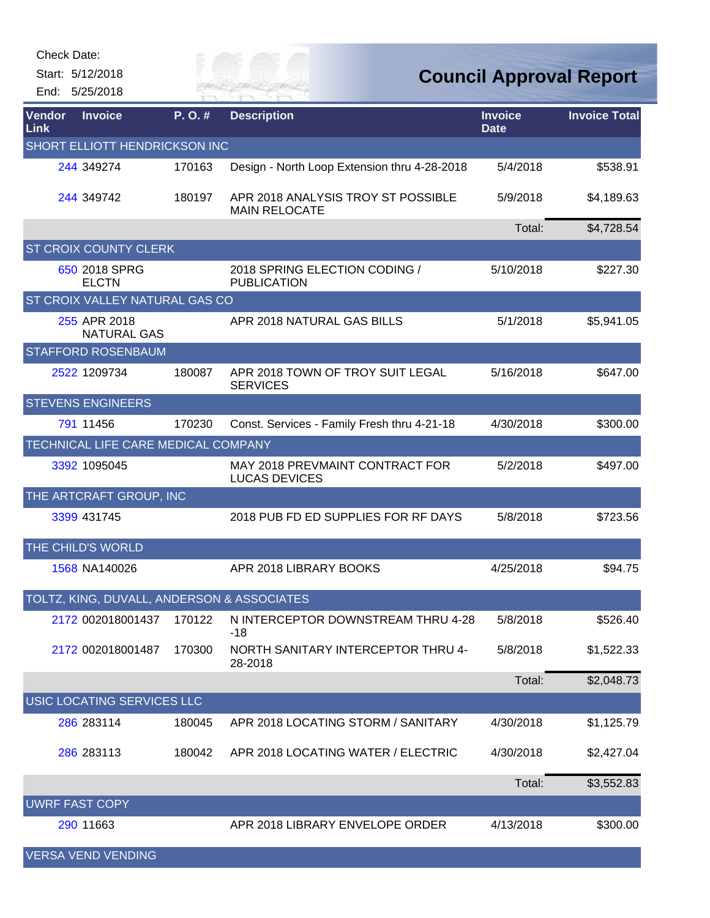Start: 5/12/2018 End: 5/25/2018 Eily of

| Vendor<br>Link        | <b>Invoice</b>                             | P.O.#  | <b>Description</b>                                         | <b>Invoice</b><br><b>Date</b> | <b>Invoice Total</b> |
|-----------------------|--------------------------------------------|--------|------------------------------------------------------------|-------------------------------|----------------------|
|                       | SHORT ELLIOTT HENDRICKSON INC              |        |                                                            |                               |                      |
|                       | 244 349274                                 | 170163 | Design - North Loop Extension thru 4-28-2018               | 5/4/2018                      | \$538.91             |
|                       | 244 349742                                 | 180197 | APR 2018 ANALYSIS TROY ST POSSIBLE<br><b>MAIN RELOCATE</b> | 5/9/2018                      | \$4,189.63           |
|                       |                                            |        |                                                            | Total:                        | \$4,728.54           |
|                       | <b>ST CROIX COUNTY CLERK</b>               |        |                                                            |                               |                      |
|                       | 650 2018 SPRG<br><b>ELCTN</b>              |        | 2018 SPRING ELECTION CODING /<br><b>PUBLICATION</b>        | 5/10/2018                     | \$227.30             |
|                       | <b>ST CROIX VALLEY NATURAL GAS CO</b>      |        |                                                            |                               |                      |
|                       | 255 APR 2018<br><b>NATURAL GAS</b>         |        | APR 2018 NATURAL GAS BILLS                                 | 5/1/2018                      | \$5,941.05           |
|                       | <b>STAFFORD ROSENBAUM</b>                  |        |                                                            |                               |                      |
|                       | 2522 1209734                               | 180087 | APR 2018 TOWN OF TROY SUIT LEGAL<br><b>SERVICES</b>        | 5/16/2018                     | \$647.00             |
|                       | <b>STEVENS ENGINEERS</b>                   |        |                                                            |                               |                      |
|                       | 791 11456                                  | 170230 | Const. Services - Family Fresh thru 4-21-18                | 4/30/2018                     | \$300.00             |
|                       | TECHNICAL LIFE CARE MEDICAL COMPANY        |        |                                                            |                               |                      |
|                       | 3392 1095045                               |        | MAY 2018 PREVMAINT CONTRACT FOR<br><b>LUCAS DEVICES</b>    | 5/2/2018                      | \$497.00             |
|                       | THE ARTCRAFT GROUP, INC                    |        |                                                            |                               |                      |
|                       | 3399 431745                                |        | 2018 PUB FD ED SUPPLIES FOR RF DAYS                        | 5/8/2018                      | \$723.56             |
|                       | THE CHILD'S WORLD                          |        |                                                            |                               |                      |
|                       | 1568 NA140026                              |        | APR 2018 LIBRARY BOOKS                                     | 4/25/2018                     | \$94.75              |
|                       | TOLTZ, KING, DUVALL, ANDERSON & ASSOCIATES |        |                                                            |                               |                      |
|                       | 2172 002018001437 170122                   |        | N INTERCEPTOR DOWNSTREAM THRU 4-28<br>-18                  | 5/8/2018                      | \$526.40             |
|                       | 2172 002018001487                          | 170300 | NORTH SANITARY INTERCEPTOR THRU 4-<br>28-2018              | 5/8/2018                      | \$1,522.33           |
|                       |                                            |        |                                                            | Total:                        | \$2,048.73           |
|                       | USIC LOCATING SERVICES LLC                 |        |                                                            |                               |                      |
|                       | 286 283114                                 | 180045 | APR 2018 LOCATING STORM / SANITARY                         | 4/30/2018                     | \$1,125.79           |
|                       | 286 283113                                 | 180042 | APR 2018 LOCATING WATER / ELECTRIC                         | 4/30/2018                     | \$2,427.04           |
|                       |                                            |        |                                                            | Total:                        | \$3,552.83           |
| <b>UWRF FAST COPY</b> |                                            |        |                                                            |                               |                      |
|                       | 290 11663                                  |        | APR 2018 LIBRARY ENVELOPE ORDER                            | 4/13/2018                     | \$300.00             |
|                       | <b>VERSA VEND VENDING</b>                  |        |                                                            |                               |                      |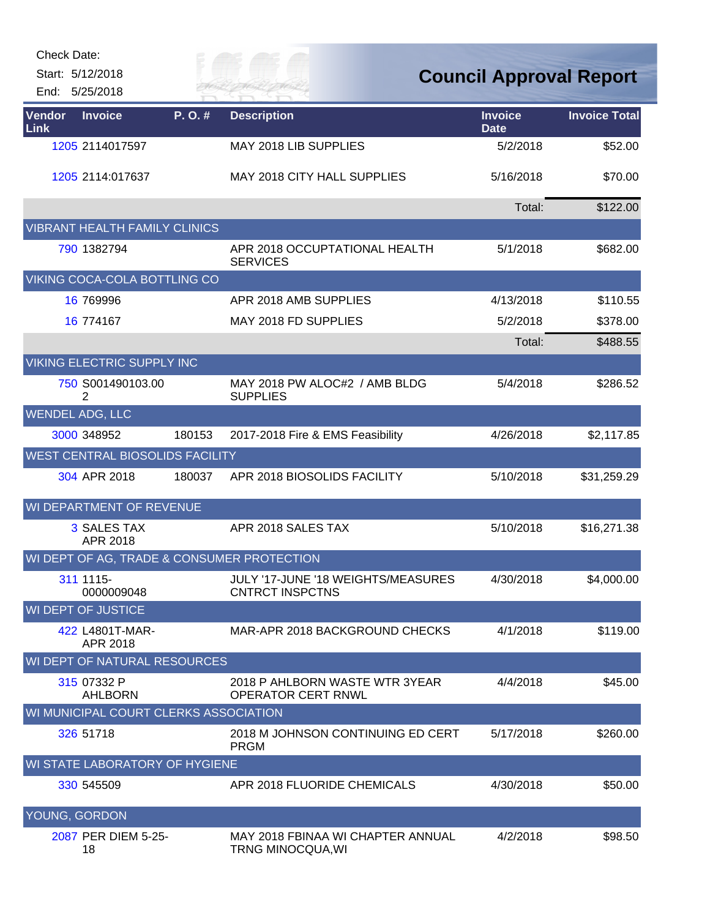Start: 5/12/2018

End: 5/25/2018

## City of

| Vendor<br>Link | <b>Invoice</b>                        | P.O.#  | <b>Description</b>                                           | <b>Invoice</b><br><b>Date</b> | <b>Invoice Total</b> |
|----------------|---------------------------------------|--------|--------------------------------------------------------------|-------------------------------|----------------------|
|                | 1205 2114017597                       |        | MAY 2018 LIB SUPPLIES                                        | 5/2/2018                      | \$52.00              |
|                | 1205 2114:017637                      |        | MAY 2018 CITY HALL SUPPLIES                                  | 5/16/2018                     | \$70.00              |
|                |                                       |        |                                                              | Total:                        | \$122.00             |
|                | <b>VIBRANT HEALTH FAMILY CLINICS</b>  |        |                                                              |                               |                      |
|                | 790 1382794                           |        | APR 2018 OCCUPTATIONAL HEALTH<br><b>SERVICES</b>             | 5/1/2018                      | \$682.00             |
|                | VIKING COCA-COLA BOTTLING CO          |        |                                                              |                               |                      |
|                | 16 769996                             |        | APR 2018 AMB SUPPLIES                                        | 4/13/2018                     | \$110.55             |
|                | 16 774167                             |        | MAY 2018 FD SUPPLIES                                         | 5/2/2018                      | \$378.00             |
|                |                                       |        |                                                              | Total:                        | \$488.55             |
|                | VIKING ELECTRIC SUPPLY INC            |        |                                                              |                               |                      |
|                | 750 S001490103.00<br>2                |        | MAY 2018 PW ALOC#2 / AMB BLDG<br><b>SUPPLIES</b>             | 5/4/2018                      | \$286.52             |
|                | <b>WENDEL ADG, LLC</b>                |        |                                                              |                               |                      |
|                | 3000 348952                           | 180153 | 2017-2018 Fire & EMS Feasibility                             | 4/26/2018                     | \$2,117.85           |
|                | WEST CENTRAL BIOSOLIDS FACILITY       |        |                                                              |                               |                      |
|                | 304 APR 2018                          | 180037 | APR 2018 BIOSOLIDS FACILITY                                  | 5/10/2018                     | \$31,259.29          |
|                | WI DEPARTMENT OF REVENUE              |        |                                                              |                               |                      |
|                | <b>3 SALES TAX</b><br>APR 2018        |        | APR 2018 SALES TAX                                           | 5/10/2018                     | \$16,271.38          |
|                |                                       |        | WI DEPT OF AG, TRADE & CONSUMER PROTECTION                   |                               |                      |
|                | 311 1115-<br>0000009048               |        | JULY '17-JUNE '18 WEIGHTS/MEASURES<br><b>CNTRCT INSPCTNS</b> | 4/30/2018                     | \$4,000.00           |
|                | <b>WI DEPT OF JUSTICE</b>             |        |                                                              |                               |                      |
|                | 422 L4801T-MAR-<br>APR 2018           |        | MAR-APR 2018 BACKGROUND CHECKS                               | 4/1/2018                      | \$119.00             |
|                | <b>WI DEPT OF NATURAL RESOURCES</b>   |        |                                                              |                               |                      |
|                | 315 07332 P<br><b>AHLBORN</b>         |        | 2018 P AHLBORN WASTE WTR 3YEAR<br><b>OPERATOR CERT RNWL</b>  | 4/4/2018                      | \$45.00              |
|                | WI MUNICIPAL COURT CLERKS ASSOCIATION |        |                                                              |                               |                      |
|                | 326 51718                             |        | 2018 M JOHNSON CONTINUING ED CERT<br><b>PRGM</b>             | 5/17/2018                     | \$260.00             |
|                | WI STATE LABORATORY OF HYGIENE        |        |                                                              |                               |                      |
|                | 330 545509                            |        | APR 2018 FLUORIDE CHEMICALS                                  | 4/30/2018                     | \$50.00              |
|                | YOUNG, GORDON                         |        |                                                              |                               |                      |
|                | 2087 PER DIEM 5-25-<br>18             |        | MAY 2018 FBINAA WI CHAPTER ANNUAL<br>TRNG MINOCQUA, WI       | 4/2/2018                      | \$98.50              |